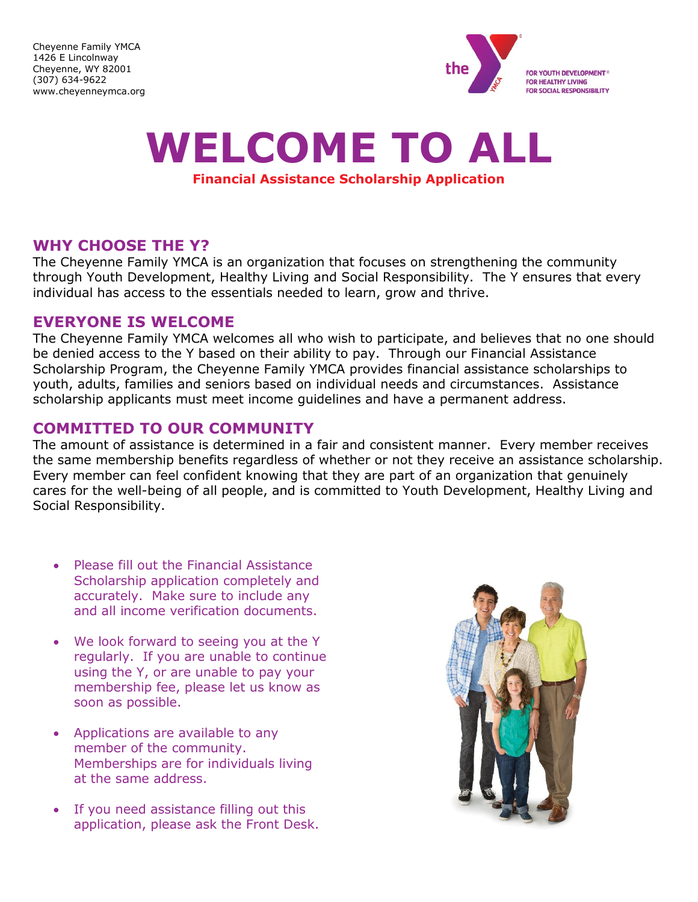Cheyenne Family YMCA 1426 E Lincolnway Cheyenne, WY 82001 (307) 634-9622 www.cheyenneymca.org



# **WELCOME TO ALL**

#### **Financial Assistance Scholarship Application**

## **WHY CHOOSE THE Y?**

The Cheyenne Family YMCA is an organization that focuses on strengthening the community through Youth Development, Healthy Living and Social Responsibility. The Y ensures that every individual has access to the essentials needed to learn, grow and thrive.

## **EVERYONE IS WELCOME**

The Cheyenne Family YMCA welcomes all who wish to participate, and believes that no one should be denied access to the Y based on their ability to pay. Through our Financial Assistance Scholarship Program, the Cheyenne Family YMCA provides financial assistance scholarships to youth, adults, families and seniors based on individual needs and circumstances. Assistance scholarship applicants must meet income guidelines and have a permanent address.

# **COMMITTED TO OUR COMMUNITY**

The amount of assistance is determined in a fair and consistent manner. Every member receives the same membership benefits regardless of whether or not they receive an assistance scholarship. Every member can feel confident knowing that they are part of an organization that genuinely cares for the well-being of all people, and is committed to Youth Development, Healthy Living and Social Responsibility.

- Please fill out the Financial Assistance Scholarship application completely and accurately. Make sure to include any and all income verification documents.
- We look forward to seeing you at the Y regularly. If you are unable to continue using the Y, or are unable to pay your membership fee, please let us know as soon as possible.
- Applications are available to any member of the community. Memberships are for individuals living at the same address.
- If you need assistance filling out this application, please ask the Front Desk.

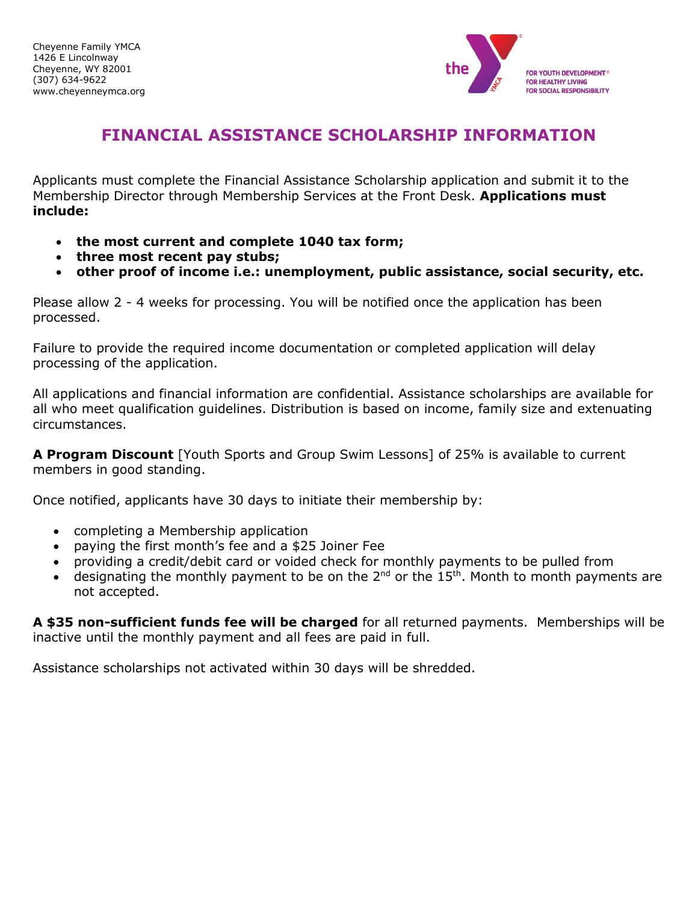

# **FINANCIAL ASSISTANCE SCHOLARSHIP INFORMATION**

Applicants must complete the Financial Assistance Scholarship application and submit it to the Membership Director through Membership Services at the Front Desk. **Applications must include:**

- **the most current and complete 1040 tax form;**
- **three most recent pay stubs;**
- **other proof of income i.e.: unemployment, public assistance, social security, etc.**

Please allow 2 - 4 weeks for processing. You will be notified once the application has been processed.

Failure to provide the required income documentation or completed application will delay processing of the application.

All applications and financial information are confidential. Assistance scholarships are available for all who meet qualification guidelines. Distribution is based on income, family size and extenuating circumstances.

**A Program Discount** [Youth Sports and Group Swim Lessons] of 25% is available to current members in good standing.

Once notified, applicants have 30 days to initiate their membership by:

- completing a Membership application
- paying the first month's fee and a \$25 Joiner Fee
- providing a credit/debit card or voided check for monthly payments to be pulled from
- designating the monthly payment to be on the  $2^{nd}$  or the  $15^{th}$ . Month to month payments are not accepted.

**A \$35 non-sufficient funds fee will be charged** for all returned payments. Memberships will be inactive until the monthly payment and all fees are paid in full.

Assistance scholarships not activated within 30 days will be shredded.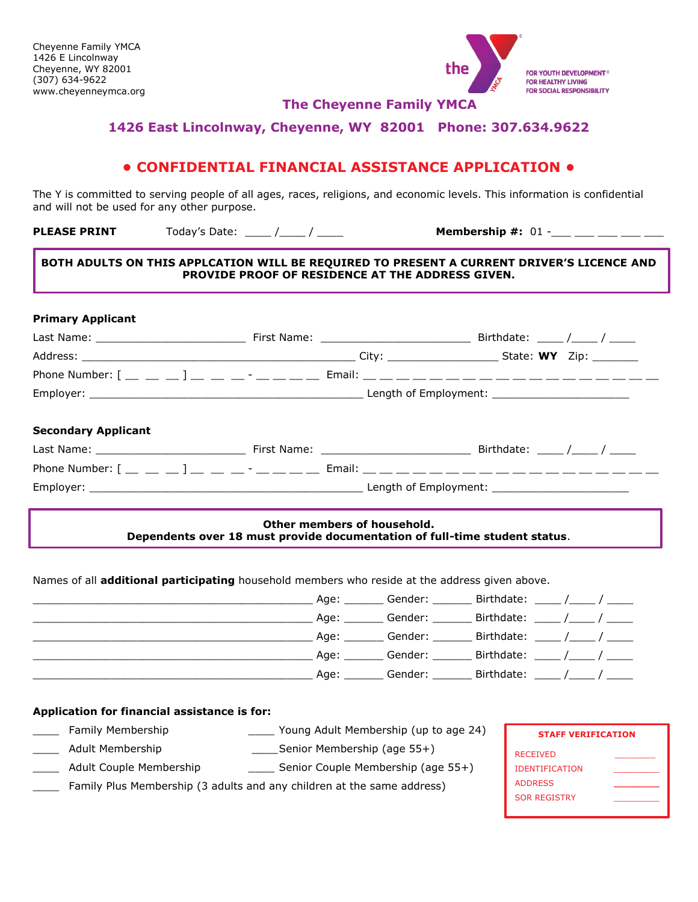

FOR YOUTH DEVELOPMENT® **FOR HEALTHY LIVING** FOR SOCIAL RESPONSIBILITY

**The Cheyenne Family YMCA**

#### **1426 East Lincolnway, Cheyenne, WY 82001 Phone: 307.634.9622**

#### **• CONFIDENTIAL FINANCIAL ASSISTANCE APPLICATION •**

The Y is committed to serving people of all ages, races, religions, and economic levels. This information is confidential and will not be used for any other purpose.

**PLEASE PRINT** Today's Date: \_\_\_\_\_ /\_\_\_\_\_ / \_\_\_\_\_ Membership #: 01 -\_\_\_ \_\_\_ \_\_\_ \_\_\_ \_\_

#### **BOTH ADULTS ON THIS APPLCATION WILL BE REQUIRED TO PRESENT A CURRENT DRIVER'S LICENCE AND PROVIDE PROOF OF RESIDENCE AT THE ADDRESS GIVEN.**

|  | Birthdate: ____ /____ / ____ |
|--|------------------------------|

#### **Other members of household. Dependents over 18 must provide documentation of full-time student status**.

Names of all **additional participating** household members who reside at the address given above.

|  | Age: Gender:        | Birthdate: _____ /____ / _____  |  |
|--|---------------------|---------------------------------|--|
|  | Age: Gender: ______ | Birthdate: _____ /_____ / _____ |  |
|  | Age: Gender:        | Birthdate: _____ /_____ / _____ |  |
|  | Age: Gender:        | Birthdate: $\frac{\sqrt{2}}{2}$ |  |
|  |                     | Age: Gender: Birthdate: / /     |  |

#### **Application for financial assistance is for:**

- \_\_\_\_ Family Membership \_\_\_\_ Young Adult Membership (up to age 24)
- \_\_\_\_ Adult Membership \_\_\_\_Senior Membership (age 55+)
- \_ Adult Couple Membership \_\_\_\_\_\_\_\_\_\_\_\_\_\_\_\_ Senior Couple Membership (age 55+)
- Family Plus Membership (3 adults and any children at the same address)

| <b>STAFF VERIFICATION</b> |  |  |  |
|---------------------------|--|--|--|
| <b>RECEIVED</b>           |  |  |  |
| <b>IDENTIFICATION</b>     |  |  |  |
| <b>ADDRESS</b>            |  |  |  |
| <b>SOR REGISTRY</b>       |  |  |  |
|                           |  |  |  |